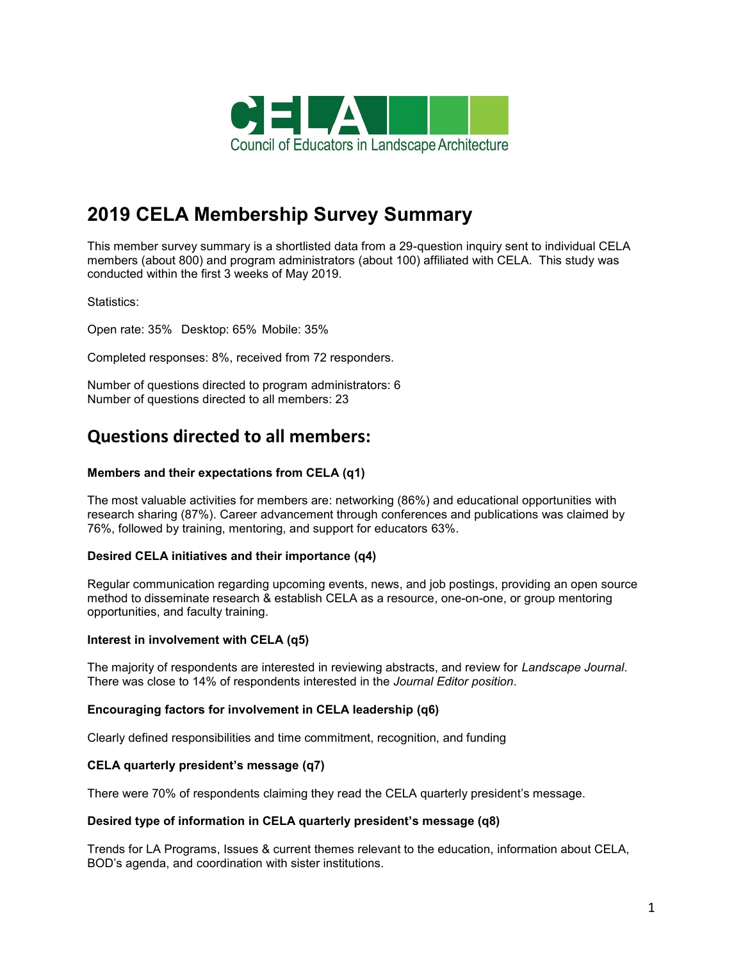

# **2019 CELA Membership Survey Summary**

This member survey summary is a shortlisted data from a 29-question inquiry sent to individual CELA members (about 800) and program administrators (about 100) affiliated with CELA. This study was conducted within the first 3 weeks of May 2019.

Statistics:

Open rate: 35% Desktop: 65% Mobile: 35%

Completed responses: 8%, received from 72 responders.

Number of questions directed to program administrators: 6 Number of questions directed to all members: 23

# **Questions directed to all members:**

# **Members and their expectations from CELA (q1)**

The most valuable activities for members are: networking (86%) and educational opportunities with research sharing (87%). Career advancement through conferences and publications was claimed by 76%, followed by training, mentoring, and support for educators 63%.

#### **Desired CELA initiatives and their importance (q4)**

Regular communication regarding upcoming events, news, and job postings, providing an open source method to disseminate research & establish CELA as a resource, one-on-one, or group mentoring opportunities, and faculty training.

#### **Interest in involvement with CELA (q5)**

The majority of respondents are interested in reviewing abstracts, and review for *Landscape Journal*. There was close to 14% of respondents interested in the *Journal Editor position*.

#### **Encouraging factors for involvement in CELA leadership (q6)**

Clearly defined responsibilities and time commitment, recognition, and funding

#### **CELA quarterly president's message (q7)**

There were 70% of respondents claiming they read the CELA quarterly president's message.

#### **Desired type of information in CELA quarterly president's message (q8)**

Trends for LA Programs, Issues & current themes relevant to the education, information about CELA, BOD's agenda, and coordination with sister institutions.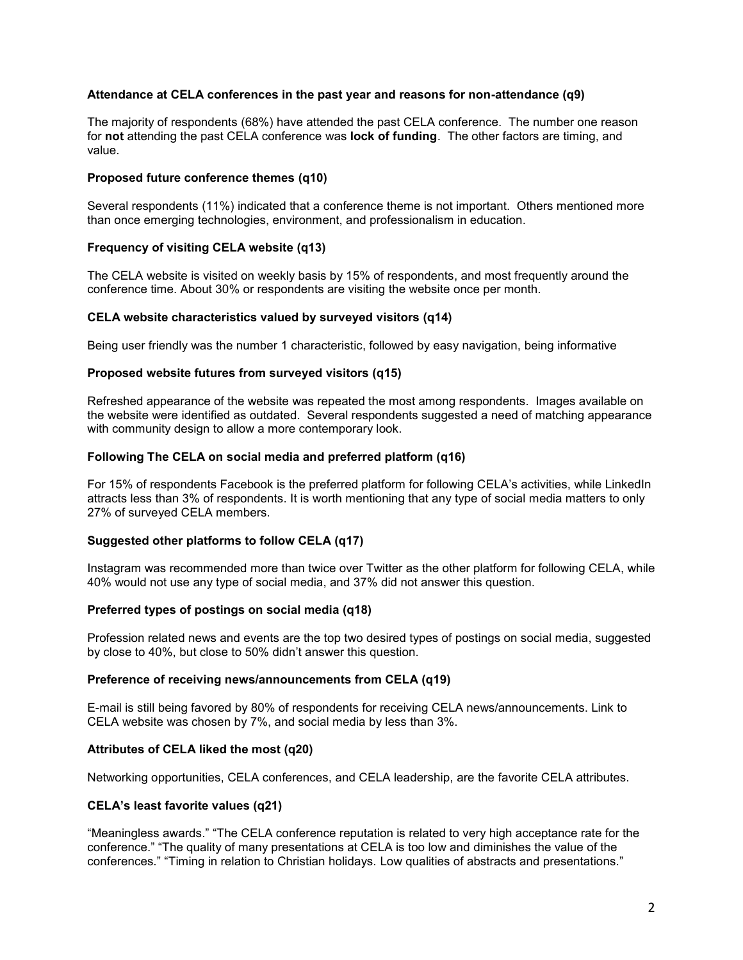#### **Attendance at CELA conferences in the past year and reasons for non-attendance (q9)**

The majority of respondents (68%) have attended the past CELA conference. The number one reason for **not** attending the past CELA conference was **lock of funding**. The other factors are timing, and value.

#### **Proposed future conference themes (q10)**

Several respondents (11%) indicated that a conference theme is not important. Others mentioned more than once emerging technologies, environment, and professionalism in education.

# **Frequency of visiting CELA website (q13)**

The CELA website is visited on weekly basis by 15% of respondents, and most frequently around the conference time. About 30% or respondents are visiting the website once per month.

#### **CELA website characteristics valued by surveyed visitors (q14)**

Being user friendly was the number 1 characteristic, followed by easy navigation, being informative

# **Proposed website futures from surveyed visitors (q15)**

Refreshed appearance of the website was repeated the most among respondents. Images available on the website were identified as outdated. Several respondents suggested a need of matching appearance with community design to allow a more contemporary look.

# **Following The CELA on social media and preferred platform (q16)**

For 15% of respondents Facebook is the preferred platform for following CELA's activities, while LinkedIn attracts less than 3% of respondents. It is worth mentioning that any type of social media matters to only 27% of surveyed CELA members.

# **Suggested other platforms to follow CELA (q17)**

Instagram was recommended more than twice over Twitter as the other platform for following CELA, while 40% would not use any type of social media, and 37% did not answer this question.

#### **Preferred types of postings on social media (q18)**

Profession related news and events are the top two desired types of postings on social media, suggested by close to 40%, but close to 50% didn't answer this question.

#### **Preference of receiving news/announcements from CELA (q19)**

E-mail is still being favored by 80% of respondents for receiving CELA news/announcements. Link to CELA website was chosen by 7%, and social media by less than 3%.

#### **Attributes of CELA liked the most (q20)**

Networking opportunities, CELA conferences, and CELA leadership, are the favorite CELA attributes.

#### **CELA's least favorite values (q21)**

"Meaningless awards." "The CELA conference reputation is related to very high acceptance rate for the conference." "The quality of many presentations at CELA is too low and diminishes the value of the conferences." "Timing in relation to Christian holidays. Low qualities of abstracts and presentations."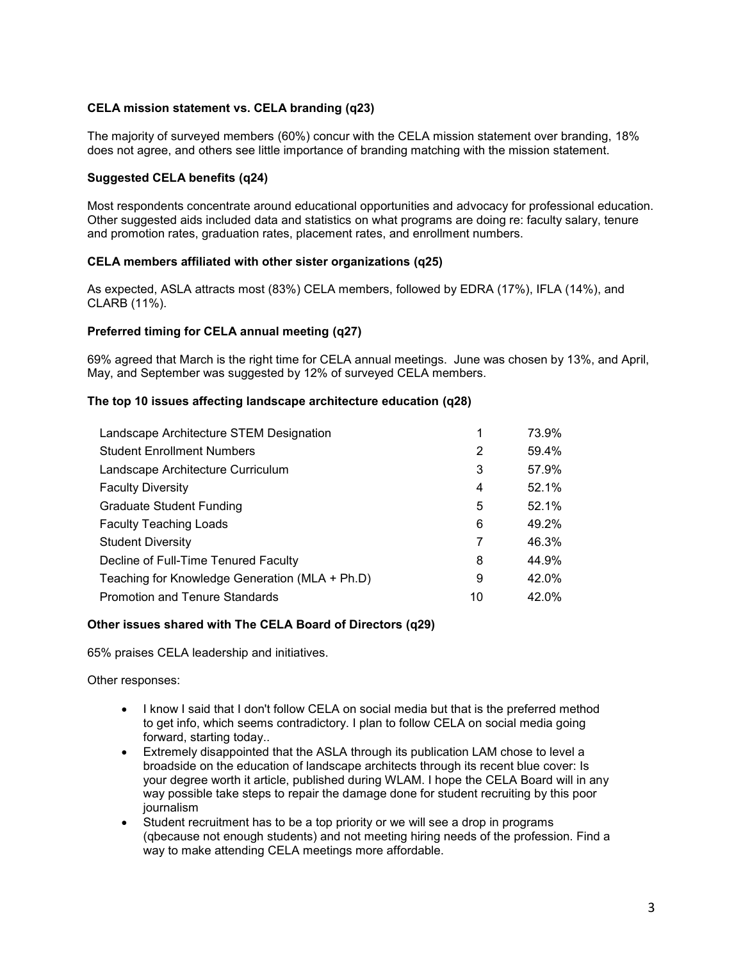# **CELA mission statement vs. CELA branding (q23)**

The majority of surveyed members (60%) concur with the CELA mission statement over branding, 18% does not agree, and others see little importance of branding matching with the mission statement.

# **Suggested CELA benefits (q24)**

Most respondents concentrate around educational opportunities and advocacy for professional education. Other suggested aids included data and statistics on what programs are doing re: faculty salary, tenure and promotion rates, graduation rates, placement rates, and enrollment numbers.

# **CELA members affiliated with other sister organizations (q25)**

As expected, ASLA attracts most (83%) CELA members, followed by EDRA (17%), IFLA (14%), and CLARB (11%).

# **Preferred timing for CELA annual meeting (q27)**

69% agreed that March is the right time for CELA annual meetings. June was chosen by 13%, and April, May, and September was suggested by 12% of surveyed CELA members.

# **The top 10 issues affecting landscape architecture education (q28)**

| Landscape Architecture STEM Designation        | 1  | 73.9% |
|------------------------------------------------|----|-------|
| <b>Student Enrollment Numbers</b>              | 2  | 59.4% |
| Landscape Architecture Curriculum              | 3  | 57.9% |
| <b>Faculty Diversity</b>                       | 4  | 52.1% |
| <b>Graduate Student Funding</b>                | 5  | 52.1% |
| <b>Faculty Teaching Loads</b>                  | 6  | 49.2% |
| <b>Student Diversity</b>                       | 7  | 46.3% |
| Decline of Full-Time Tenured Faculty           | 8  | 44.9% |
| Teaching for Knowledge Generation (MLA + Ph.D) | 9  | 42.0% |
| <b>Promotion and Tenure Standards</b>          | 10 | 42.0% |

#### **Other issues shared with The CELA Board of Directors (q29)**

65% praises CELA leadership and initiatives.

Other responses:

- I know I said that I don't follow CELA on social media but that is the preferred method to get info, which seems contradictory. I plan to follow CELA on social media going forward, starting today..
- Extremely disappointed that the ASLA through its publication LAM chose to level a broadside on the education of landscape architects through its recent blue cover: Is your degree worth it article, published during WLAM. I hope the CELA Board will in any way possible take steps to repair the damage done for student recruiting by this poor journalism
- Student recruitment has to be a top priority or we will see a drop in programs (qbecause not enough students) and not meeting hiring needs of the profession. Find a way to make attending CELA meetings more affordable.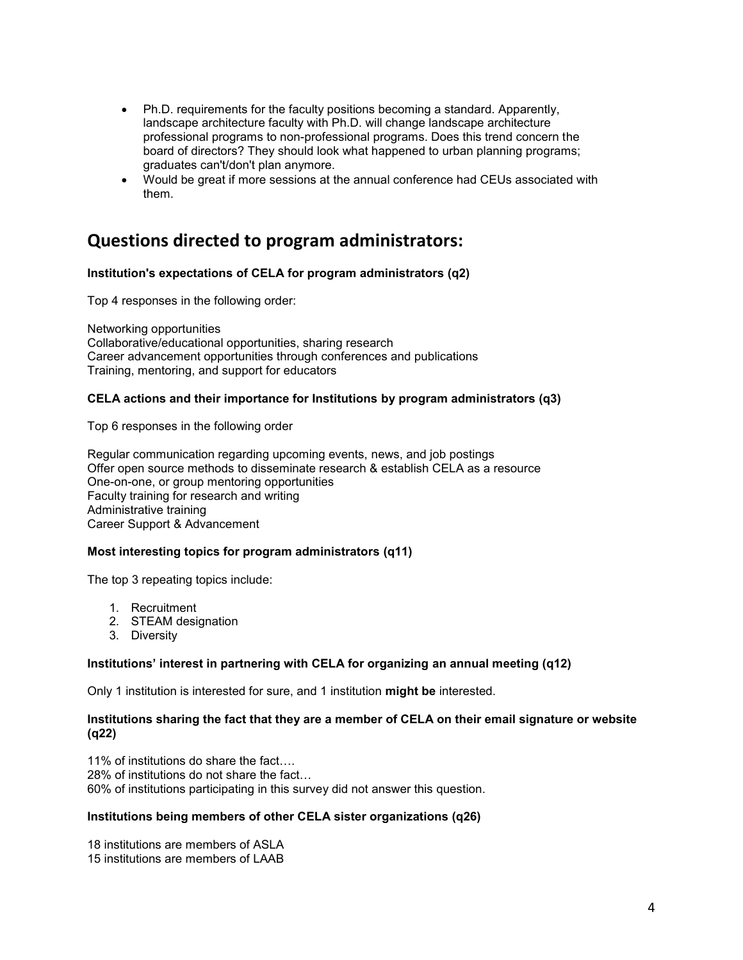- Ph.D. requirements for the faculty positions becoming a standard. Apparently, landscape architecture faculty with Ph.D. will change landscape architecture professional programs to non-professional programs. Does this trend concern the board of directors? They should look what happened to urban planning programs; graduates can't/don't plan anymore.
- Would be great if more sessions at the annual conference had CEUs associated with them.

# **Questions directed to program administrators:**

# **Institution's expectations of CELA for program administrators (q2)**

Top 4 responses in the following order:

Networking opportunities Collaborative/educational opportunities, sharing research Career advancement opportunities through conferences and publications Training, mentoring, and support for educators

# **CELA actions and their importance for Institutions by program administrators (q3)**

Top 6 responses in the following order

Regular communication regarding upcoming events, news, and job postings Offer open source methods to disseminate research & establish CELA as a resource One-on-one, or group mentoring opportunities Faculty training for research and writing Administrative training Career Support & Advancement

#### **Most interesting topics for program administrators (q11)**

The top 3 repeating topics include:

- 1. Recruitment
- 2. STEAM designation
- 3. Diversity

#### **Institutions' interest in partnering with CELA for organizing an annual meeting (q12)**

Only 1 institution is interested for sure, and 1 institution **might be** interested.

#### **Institutions sharing the fact that they are a member of CELA on their email signature or website (q22)**

11% of institutions do share the fact…. 28% of institutions do not share the fact… 60% of institutions participating in this survey did not answer this question.

#### **Institutions being members of other CELA sister organizations (q26)**

18 institutions are members of ASLA 15 institutions are members of LAAB